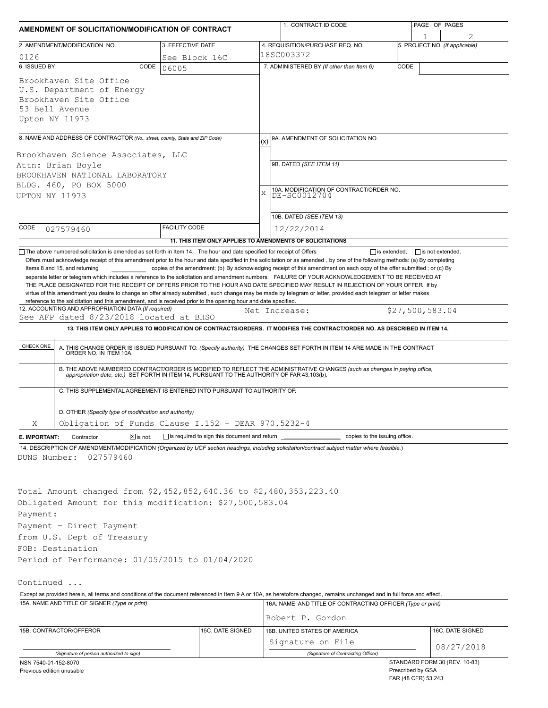| AMENDMENT OF SOLICITATION/MODIFICATION OF CONTRACT                                                                                    |                                                                                                                                                                                                                                                    |                                                           |             | 1. CONTRACT ID CODE                                                                                                                                                                                                                                                                                                                                                                                                                                                                                                                                                                                                                                                                                                                 |  | PAGE OF PAGES                            |                                |  |  |
|---------------------------------------------------------------------------------------------------------------------------------------|----------------------------------------------------------------------------------------------------------------------------------------------------------------------------------------------------------------------------------------------------|-----------------------------------------------------------|-------------|-------------------------------------------------------------------------------------------------------------------------------------------------------------------------------------------------------------------------------------------------------------------------------------------------------------------------------------------------------------------------------------------------------------------------------------------------------------------------------------------------------------------------------------------------------------------------------------------------------------------------------------------------------------------------------------------------------------------------------------|--|------------------------------------------|--------------------------------|--|--|
|                                                                                                                                       | 2. AMENDMENT/MODIFICATION NO.                                                                                                                                                                                                                      | 3. EFFECTIVE DATE                                         |             | 4. REQUISITION/PURCHASE REQ. NO.                                                                                                                                                                                                                                                                                                                                                                                                                                                                                                                                                                                                                                                                                                    |  |                                          | 5. PROJECT NO. (If applicable) |  |  |
| 0126                                                                                                                                  |                                                                                                                                                                                                                                                    | See Block 16C                                             | l18SC003372 |                                                                                                                                                                                                                                                                                                                                                                                                                                                                                                                                                                                                                                                                                                                                     |  |                                          |                                |  |  |
| 6. ISSUED BY                                                                                                                          | CODE                                                                                                                                                                                                                                               | 06005                                                     |             | 7. ADMINISTERED BY (If other than Item 6)<br>CODE                                                                                                                                                                                                                                                                                                                                                                                                                                                                                                                                                                                                                                                                                   |  |                                          |                                |  |  |
| Upton NY 11973                                                                                                                        | Brookhaven Site Office<br>U.S. Department of Energy<br>Brookhaven Site Office<br>53 Bell Avenue                                                                                                                                                    |                                                           |             |                                                                                                                                                                                                                                                                                                                                                                                                                                                                                                                                                                                                                                                                                                                                     |  |                                          |                                |  |  |
|                                                                                                                                       | 8. NAME AND ADDRESS OF CONTRACTOR (No., street, county, State and ZIP Code)                                                                                                                                                                        |                                                           |             | 9A. AMENDMENT OF SOLICITATION NO.                                                                                                                                                                                                                                                                                                                                                                                                                                                                                                                                                                                                                                                                                                   |  |                                          |                                |  |  |
| Brookhaven Science Associates, LLC<br>Attn: Brian Boyle<br>BROOKHAVEN NATIONAL LABORATORY<br>BLDG. 460, PO BOX 5000<br>UPTON NY 11973 |                                                                                                                                                                                                                                                    |                                                           | X           | 9B. DATED (SEE ITEM 11)<br>10A. MODIFICATION OF CONTRACT/ORDER NO.<br>DE-SC0012704                                                                                                                                                                                                                                                                                                                                                                                                                                                                                                                                                                                                                                                  |  |                                          |                                |  |  |
|                                                                                                                                       |                                                                                                                                                                                                                                                    |                                                           |             | 10B. DATED (SEE ITEM 13)                                                                                                                                                                                                                                                                                                                                                                                                                                                                                                                                                                                                                                                                                                            |  |                                          |                                |  |  |
| CODE                                                                                                                                  | 027579460                                                                                                                                                                                                                                          | <b>FACILITY CODE</b>                                      |             | 12/22/2014                                                                                                                                                                                                                                                                                                                                                                                                                                                                                                                                                                                                                                                                                                                          |  |                                          |                                |  |  |
|                                                                                                                                       |                                                                                                                                                                                                                                                    | 11. THIS ITEM ONLY APPLIES TO AMENDMENTS OF SOLICITATIONS |             |                                                                                                                                                                                                                                                                                                                                                                                                                                                                                                                                                                                                                                                                                                                                     |  |                                          |                                |  |  |
|                                                                                                                                       | Items 8 and 15, and returning<br>reference to the solicitation and this amendment, and is received prior to the opening hour and date specified.<br>12. ACCOUNTING AND APPROPRIATION DATA (If required)<br>See AFP dated 8/23/2018 located at BHSO |                                                           |             | copies of the amendment; (b) By acknowledging receipt of this amendment on each copy of the offer submitted; or (c) By<br>separate letter or telegram which includes a reference to the solicitation and amendment numbers. FAILURE OF YOUR ACKNOWLEDGEMENT TO BE RECEIVED AT<br>THE PLACE DESIGNATED FOR THE RECEIPT OF OFFERS PRIOR TO THE HOUR AND DATE SPECIFIED MAY RESULT IN REJECTION OF YOUR OFFER If by<br>virtue of this amendment you desire to change an offer already submitted, such change may be made by telegram or letter, provided each telegram or letter makes<br>Net Increase:<br>13. THIS ITEM ONLY APPLIES TO MODIFICATION OF CONTRACTS/ORDERS. IT MODIFIES THE CONTRACT/ORDER NO. AS DESCRIBED IN ITEM 14. |  | \$27,500,583.04                          |                                |  |  |
|                                                                                                                                       |                                                                                                                                                                                                                                                    |                                                           |             |                                                                                                                                                                                                                                                                                                                                                                                                                                                                                                                                                                                                                                                                                                                                     |  |                                          |                                |  |  |
| CHECK ONE                                                                                                                             |                                                                                                                                                                                                                                                    |                                                           |             | A. THIS CHANGE ORDER IS ISSUED PURSUANT TO: (Specify authority) THE CHANGES SET FORTH IN ITEM 14 ARE MADE IN THE CONTRACT ORDER NO. IN ITEM 10A.                                                                                                                                                                                                                                                                                                                                                                                                                                                                                                                                                                                    |  |                                          |                                |  |  |
|                                                                                                                                       |                                                                                                                                                                                                                                                    |                                                           |             | B. THE ABOVE NUMBERED CONTRACT/ORDER IS MODIFIED TO REFLECT THE ADMINISTRATIVE CHANGES (such as changes in paying office, appropriation date, etc.) SET FORTH IN ITEM 14, PURSUANT TO THE AUTHORITY OF FAR 43.103(b).                                                                                                                                                                                                                                                                                                                                                                                                                                                                                                               |  |                                          |                                |  |  |
|                                                                                                                                       | C. THIS SUPPLEMENTAL AGREEMENT IS ENTERED INTO PURSUANT TO AUTHORITY OF:                                                                                                                                                                           |                                                           |             |                                                                                                                                                                                                                                                                                                                                                                                                                                                                                                                                                                                                                                                                                                                                     |  |                                          |                                |  |  |
|                                                                                                                                       | D. OTHER (Specify type of modification and authority)                                                                                                                                                                                              |                                                           |             |                                                                                                                                                                                                                                                                                                                                                                                                                                                                                                                                                                                                                                                                                                                                     |  |                                          |                                |  |  |
| X                                                                                                                                     | Obligation of Funds Clause I.152 - DEAR 970.5232-4                                                                                                                                                                                                 |                                                           |             |                                                                                                                                                                                                                                                                                                                                                                                                                                                                                                                                                                                                                                                                                                                                     |  |                                          |                                |  |  |
| E. IMPORTANT:                                                                                                                         | $X$ is not.<br>Contractor                                                                                                                                                                                                                          | $\Box$ is required to sign this document and return       |             | copies to the issuing office.                                                                                                                                                                                                                                                                                                                                                                                                                                                                                                                                                                                                                                                                                                       |  |                                          |                                |  |  |
| DUNS Number:                                                                                                                          | 027579460                                                                                                                                                                                                                                          |                                                           |             | 14. DESCRIPTION OF AMENDMENT/MODIFICATION (Organized by UCF section headings, including solicitation/contract subject matter where feasible.)                                                                                                                                                                                                                                                                                                                                                                                                                                                                                                                                                                                       |  |                                          |                                |  |  |
|                                                                                                                                       | Total Amount changed from \$2,452,852,640.36 to \$2,480,353,223.40                                                                                                                                                                                 |                                                           |             |                                                                                                                                                                                                                                                                                                                                                                                                                                                                                                                                                                                                                                                                                                                                     |  |                                          |                                |  |  |
|                                                                                                                                       | Obligated Amount for this modification: \$27,500,583.04                                                                                                                                                                                            |                                                           |             |                                                                                                                                                                                                                                                                                                                                                                                                                                                                                                                                                                                                                                                                                                                                     |  |                                          |                                |  |  |
| Payment:                                                                                                                              |                                                                                                                                                                                                                                                    |                                                           |             |                                                                                                                                                                                                                                                                                                                                                                                                                                                                                                                                                                                                                                                                                                                                     |  |                                          |                                |  |  |
|                                                                                                                                       | Payment - Direct Payment                                                                                                                                                                                                                           |                                                           |             |                                                                                                                                                                                                                                                                                                                                                                                                                                                                                                                                                                                                                                                                                                                                     |  |                                          |                                |  |  |
|                                                                                                                                       | from U.S. Dept of Treasury<br>FOB: Destination                                                                                                                                                                                                     |                                                           |             |                                                                                                                                                                                                                                                                                                                                                                                                                                                                                                                                                                                                                                                                                                                                     |  |                                          |                                |  |  |
|                                                                                                                                       | Period of Performance: 01/05/2015 to 01/04/2020                                                                                                                                                                                                    |                                                           |             |                                                                                                                                                                                                                                                                                                                                                                                                                                                                                                                                                                                                                                                                                                                                     |  |                                          |                                |  |  |
|                                                                                                                                       |                                                                                                                                                                                                                                                    |                                                           |             |                                                                                                                                                                                                                                                                                                                                                                                                                                                                                                                                                                                                                                                                                                                                     |  |                                          |                                |  |  |
| Continued                                                                                                                             |                                                                                                                                                                                                                                                    |                                                           |             |                                                                                                                                                                                                                                                                                                                                                                                                                                                                                                                                                                                                                                                                                                                                     |  |                                          |                                |  |  |
|                                                                                                                                       |                                                                                                                                                                                                                                                    |                                                           |             | Except as provided herein, all terms and conditions of the document referenced in Item 9 A or 10A, as heretofore changed, remains unchanged and in full force and effect.                                                                                                                                                                                                                                                                                                                                                                                                                                                                                                                                                           |  |                                          |                                |  |  |
|                                                                                                                                       | 15A. NAME AND TITLE OF SIGNER (Type or print)                                                                                                                                                                                                      |                                                           |             | 16A. NAME AND TITLE OF CONTRACTING OFFICER (Type or print)                                                                                                                                                                                                                                                                                                                                                                                                                                                                                                                                                                                                                                                                          |  |                                          |                                |  |  |
|                                                                                                                                       |                                                                                                                                                                                                                                                    |                                                           |             | Robert P. Gordon                                                                                                                                                                                                                                                                                                                                                                                                                                                                                                                                                                                                                                                                                                                    |  |                                          |                                |  |  |
|                                                                                                                                       | 15B. CONTRACTOR/OFFEROR                                                                                                                                                                                                                            | 15C. DATE SIGNED                                          |             | 16B. UNITED STATES OF AMERICA                                                                                                                                                                                                                                                                                                                                                                                                                                                                                                                                                                                                                                                                                                       |  |                                          | 16C. DATE SIGNED               |  |  |
|                                                                                                                                       |                                                                                                                                                                                                                                                    |                                                           |             | Signature on File                                                                                                                                                                                                                                                                                                                                                                                                                                                                                                                                                                                                                                                                                                                   |  |                                          | 08/27/2018                     |  |  |
|                                                                                                                                       | (Signature of person authorized to sign)                                                                                                                                                                                                           |                                                           |             | (Signature of Contracting Officer)                                                                                                                                                                                                                                                                                                                                                                                                                                                                                                                                                                                                                                                                                                  |  |                                          |                                |  |  |
| NSN 7540-01-152-8070<br>Previous edition unusable                                                                                     |                                                                                                                                                                                                                                                    |                                                           |             |                                                                                                                                                                                                                                                                                                                                                                                                                                                                                                                                                                                                                                                                                                                                     |  | Prescribed by GSA<br>FAR (48 CFR) 53.243 | STANDARD FORM 30 (REV. 10-83)  |  |  |